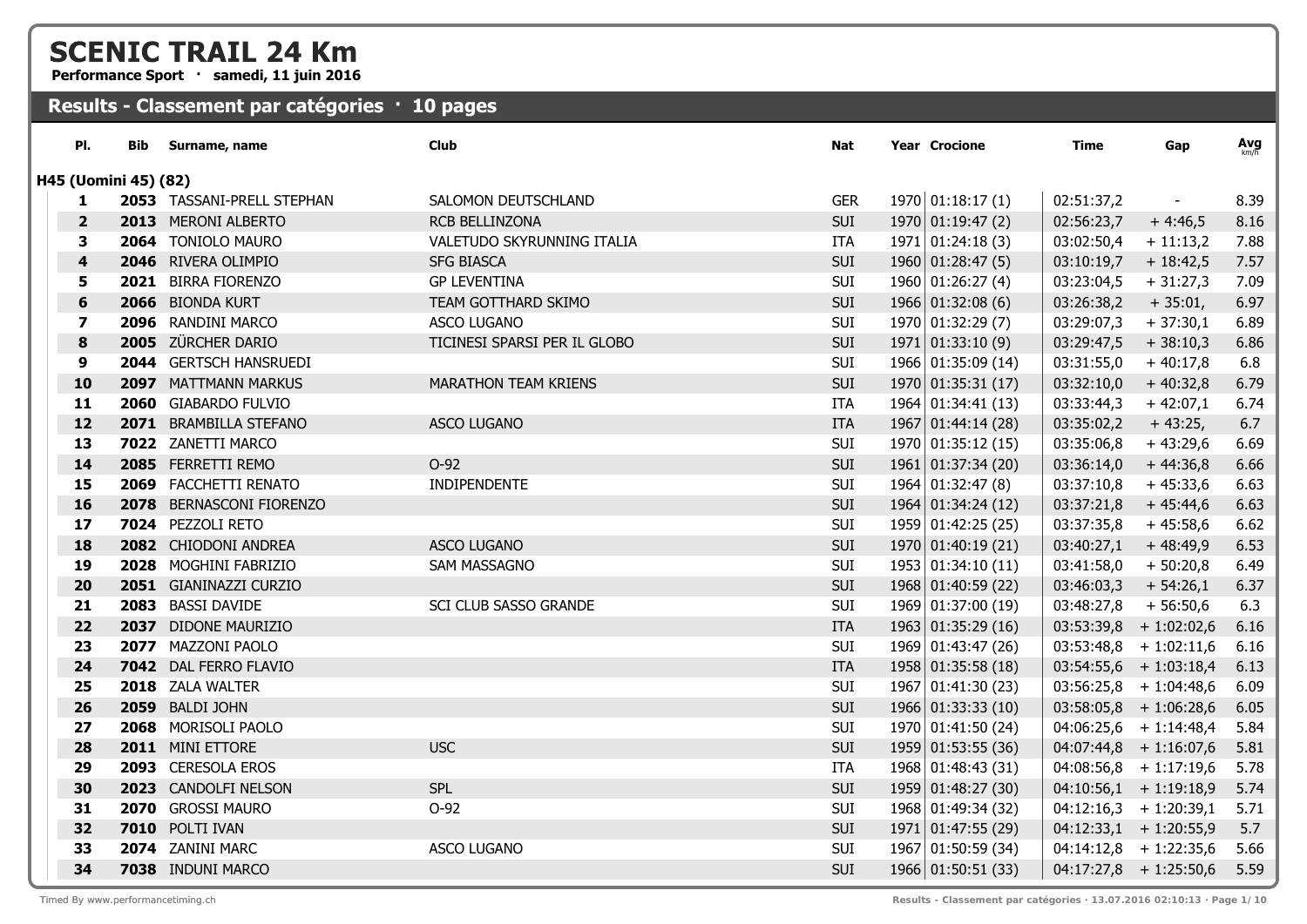**Performance Sport · samedi, 11 juin 2016**

| PI.                     | Bib                  | Surname, name              | <b>Club</b>                  | Nat        | Year Crocione           | Time       | Gap                      | Avg  |
|-------------------------|----------------------|----------------------------|------------------------------|------------|-------------------------|------------|--------------------------|------|
|                         | H45 (Uomini 45) (82) |                            |                              |            |                         |            |                          |      |
| 1                       |                      | 2053 TASSANI-PRELL STEPHAN | SALOMON DEUTSCHLAND          | <b>GER</b> | 1970   01:18:17(1)      | 02:51:37,2 | $\sim$                   | 8.39 |
| $\overline{\mathbf{2}}$ |                      | 2013 MERONI ALBERTO        | <b>RCB BELLINZONA</b>        | SUI        | 1970 01:19:47(2)        | 02:56:23,7 | $+4:46,5$                | 8.16 |
| 3                       |                      | 2064 TONIOLO MAURO         | VALETUDO SKYRUNNING ITALIA   | <b>ITA</b> | 1971   01:24:18(3)      | 03:02:50,4 | $+11:13,2$               | 7.88 |
| 4                       |                      | 2046 RIVERA OLIMPIO        | <b>SFG BIASCA</b>            | SUI        | $1960 \mid 01:28:47(5)$ | 03:10:19,7 | $+18:42,5$               | 7.57 |
| 5                       |                      | 2021 BIRRA FIORENZO        | <b>GP LEVENTINA</b>          | SUI        | 1960   01:26:27(4)      | 03:23:04,5 | $+31:27,3$               | 7.09 |
| 6                       |                      | 2066 BIONDA KURT           | TEAM GOTTHARD SKIMO          | SUI        | $1966$ 01:32:08 (6)     | 03:26:38,2 | $+35:01,$                | 6.97 |
| 7                       |                      | 2096 RANDINI MARCO         | <b>ASCO LUGANO</b>           | SUI        | 1970 01:32:29 (7)       | 03:29:07,3 | $+37:30,1$               | 6.89 |
| 8                       |                      | 2005 ZÜRCHER DARIO         | TICINESI SPARSI PER IL GLOBO | SUI        | 1971   01:33:10(9)      | 03:29:47,5 | $+38:10,3$               | 6.86 |
| 9                       |                      | 2044 GERTSCH HANSRUEDI     |                              | SUI        | 1966 01:35:09 (14)      | 03:31:55,0 | $+40:17,8$               | 6.8  |
| 10                      |                      | 2097 MATTMANN MARKUS       | MARATHON TEAM KRIENS         | SUI        | 1970 01:35:31 (17)      | 03:32:10,0 | $+40:32,8$               | 6.79 |
| 11                      |                      | 2060 GIABARDO FULVIO       |                              | ITA        | 1964 01:34:41 (13)      | 03:33:44,3 | $+42:07,1$               | 6.74 |
| 12                      |                      | 2071 BRAMBILLA STEFANO     | <b>ASCO LUGANO</b>           | <b>ITA</b> | 1967 01:44:14 (28)      | 03:35:02,2 | $+43:25,$                | 6.7  |
| 13                      |                      | 7022 ZANETTI MARCO         |                              | SUI        | 1970 01:35:12 (15)      | 03:35:06,8 | $+43:29,6$               | 6.69 |
| 14                      |                      | 2085 FERRETTI REMO         | $O-92$                       | SUI        | 1961 01:37:34 (20)      | 03:36:14,0 | $+44:36,8$               | 6.66 |
| 15                      |                      | 2069 FACCHETTI RENATO      | INDIPENDENTE                 | SUI        | $1964 \mid 01:32:47(8)$ | 03:37:10,8 | $+45:33,6$               | 6.63 |
| 16                      |                      | 2078 BERNASCONI FIORENZO   |                              | SUI        | 1964 01:34:24 (12)      | 03:37:21,8 | $+45:44,6$               | 6.63 |
| 17                      |                      | 7024 PEZZOLI RETO          |                              | SUI        | 1959 01:42:25 (25)      | 03:37:35,8 | $+45:58,6$               | 6.62 |
| 18                      |                      | 2082 CHIODONI ANDREA       | <b>ASCO LUGANO</b>           | SUI        | 1970 01:40:19 (21)      | 03:40:27,1 | $+48:49,9$               | 6.53 |
| 19                      |                      | 2028 MOGHINI FABRIZIO      | SAM MASSAGNO                 | SUI        | 1953 01:34:10 (11)      | 03:41:58,0 | $+50:20,8$               | 6.49 |
| 20                      |                      | 2051 GIANINAZZI CURZIO     |                              | SUI        | 1968 01:40:59 (22)      | 03:46:03,3 | $+ 54:26,1$              | 6.37 |
| 21                      |                      | 2083 BASSI DAVIDE          | SCI CLUB SASSO GRANDE        | SUI        | 1969 01:37:00 (19)      | 03:48:27,8 | $+56:50,6$               | 6.3  |
| 22                      |                      | 2037 DIDONE MAURIZIO       |                              | <b>ITA</b> | 1963   01:35:29(16)     | 03:53:39,8 | $+1:02:02,6$             | 6.16 |
| 23                      |                      | 2077 MAZZONI PAOLO         |                              | SUI        | 1969 01:43:47 (26)      | 03:53:48,8 | $+1:02:11,6$             | 6.16 |
| 24                      |                      | 7042 DAL FERRO FLAVIO      |                              | <b>ITA</b> | 1958 01:35:58 (18)      |            | $03:54:55,6$ + 1:03:18,4 | 6.13 |
| 25                      |                      | 2018 ZALA WALTER           |                              | SUI        | 1967 01:41:30 (23)      |            | $03:56:25,8$ + 1:04:48,6 | 6.09 |
| 26                      |                      | 2059 BALDI JOHN            |                              | SUI        | 1966 01:33:33 (10)      |            | $03:58:05,8$ + 1:06:28,6 | 6.05 |
| 27                      |                      | 2068 MORISOLI PAOLO        |                              | SUI        | 1970 01:41:50 (24)      |            | $04:06:25,6$ + 1:14:48,4 | 5.84 |
| 28                      |                      | 2011 MINI ETTORE           | <b>USC</b>                   | SUI        | 1959 01:53:55 (36)      |            | $04:07:44,8$ + 1:16:07,6 | 5.81 |
| 29                      |                      | 2093 CERESOLA EROS         |                              | ITA        | 1968 01:48:43 (31)      |            | $04:08:56,8$ + 1:17:19,6 | 5.78 |
| 30                      |                      | 2023 CANDOLFI NELSON       | <b>SPL</b>                   | SUI        | 1959 01:48:27 (30)      |            | $04:10:56,1$ + 1:19:18,9 | 5.74 |
| 31                      |                      | 2070 GROSSI MAURO          | $O-92$                       | SUI        | 1968 01:49:34 (32)      |            | $04:12:16,3 + 1:20:39,1$ | 5.71 |
| 32                      |                      | 7010 POLTI IVAN            |                              | SUI        | 1971 01:47:55 (29)      |            | $04:12:33,1$ + 1:20:55,9 | 5.7  |
| 33                      |                      | 2074 ZANINI MARC           | <b>ASCO LUGANO</b>           | SUI        | 1967 01:50:59 (34)      |            | $04:14:12,8 + 1:22:35,6$ | 5.66 |
| 34                      |                      | 7038 INDUNI MARCO          |                              | <b>SUI</b> | 1966 01:50:51 (33)      |            | $04:17:27,8$ + 1:25:50,6 | 5.59 |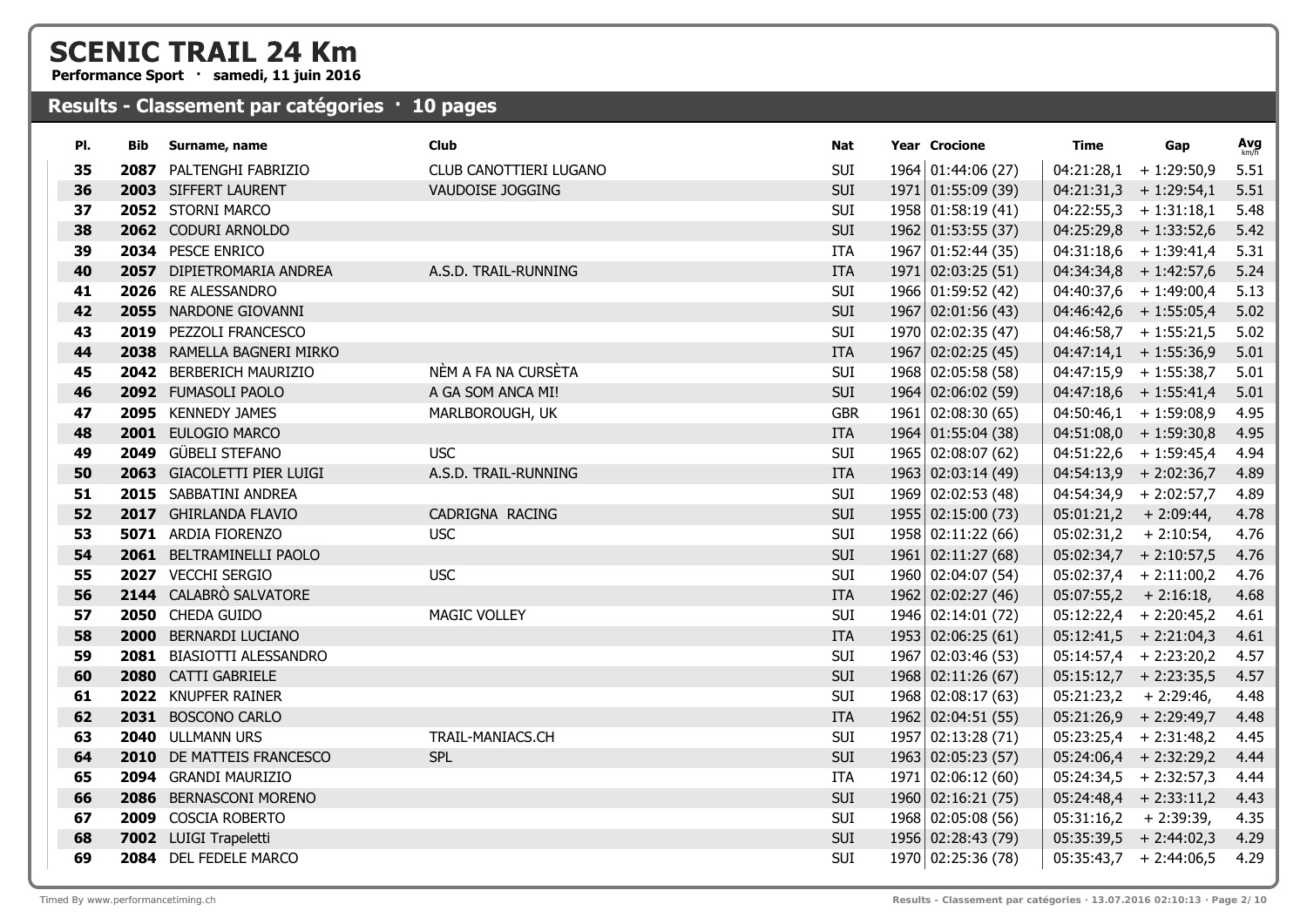**Performance Sport · samedi, 11 juin 2016**

| PI. | Bib | Surname, name              | Club                   | Nat        | <b>Year Crocione</b> | Time       | Gap                      | Avg  |
|-----|-----|----------------------------|------------------------|------------|----------------------|------------|--------------------------|------|
| 35  |     | 2087 PALTENGHI FABRIZIO    | CLUB CANOTTIERI LUGANO | <b>SUI</b> | 1964 01:44:06 (27)   |            | $04:21:28,1$ + 1:29:50,9 | 5.51 |
| 36  |     | 2003 SIFFERT LAURENT       | VAUDOISE JOGGING       | <b>SUI</b> | 1971 01:55:09 (39)   |            | $04:21:31,3 + 1:29:54,1$ | 5.51 |
| 37  |     | 2052 STORNI MARCO          |                        | <b>SUI</b> | 1958 01:58:19 (41)   |            | $04:22:55,3 + 1:31:18,1$ | 5.48 |
| 38  |     | 2062 CODURI ARNOLDO        |                        | <b>SUI</b> | 1962 01:53:55 (37)   |            | $04:25:29,8$ + 1:33:52,6 | 5.42 |
| 39  |     | 2034 PESCE ENRICO          |                        | ITA        | 1967 01:52:44 (35)   |            | $04:31:18,6$ + 1:39:41,4 | 5.31 |
| 40  |     | 2057 DIPIETROMARIA ANDREA  | A.S.D. TRAIL-RUNNING   | <b>ITA</b> | 1971   02:03:25(51)  |            | $04:34:34,8$ + 1:42:57,6 | 5.24 |
| 41  |     | 2026 RE ALESSANDRO         |                        | <b>SUI</b> | 1966 01:59:52 (42)   |            | $04:40:37,6$ + 1:49:00,4 | 5.13 |
| 42  |     | 2055 NARDONE GIOVANNI      |                        | <b>SUI</b> | 1967 02:01:56 (43)   |            | $04:46:42,6 + 1:55:05,4$ | 5.02 |
| 43  |     | 2019 PEZZOLI FRANCESCO     |                        | <b>SUI</b> | 1970 02:02:35 (47)   |            | $04:46:58,7$ + 1:55:21,5 | 5.02 |
| 44  |     | 2038 RAMELLA BAGNERI MIRKO |                        | <b>ITA</b> | 1967 02:02:25 (45)   |            | $04:47:14,1$ + 1:55:36,9 | 5.01 |
| 45  |     | 2042 BERBERICH MAURIZIO    | NÈM A FA NA CURSÈTA    | <b>SUI</b> | 1968 02:05:58 (58)   |            | $04:47:15.9 + 1:55:38.7$ | 5.01 |
| 46  |     | 2092 FUMASOLI PAOLO        | A GA SOM ANCA MI!      | <b>SUI</b> | 1964 02:06:02 (59)   |            | $04:47:18,6$ + 1:55:41,4 | 5.01 |
| 47  |     | 2095 KENNEDY JAMES         | MARLBOROUGH, UK        | <b>GBR</b> | 1961   02:08:30(65)  |            | $04:50:46,1$ + 1:59:08,9 | 4.95 |
| 48  |     | 2001 EULOGIO MARCO         |                        | <b>ITA</b> | 1964 01:55:04 (38)   |            | $04:51:08,0 + 1:59:30,8$ | 4.95 |
| 49  |     | 2049 GÜBELI STEFANO        | <b>USC</b>             | <b>SUI</b> | 1965 02:08:07 (62)   |            | $04:51:22,6$ + 1:59:45,4 | 4.94 |
| 50  |     | 2063 GIACOLETTI PIER LUIGI | A.S.D. TRAIL-RUNNING   | <b>ITA</b> | 1963 02:03:14 (49)   |            | $04:54:13,9$ + 2:02:36,7 | 4.89 |
| 51  |     | 2015 SABBATINI ANDREA      |                        | <b>SUI</b> | 1969 02:02:53 (48)   |            | $04:54:34,9$ + 2:02:57,7 | 4.89 |
| 52  |     | 2017 GHIRLANDA FLAVIO      | CADRIGNA RACING        | <b>SUI</b> | 1955 02:15:00 (73)   |            | $05:01:21,2$ + 2:09:44,  | 4.78 |
| 53  |     | 5071 ARDIA FIORENZO        | <b>USC</b>             | <b>SUI</b> | 1958 02:11:22 (66)   |            | $05:02:31,2 + 2:10:54,$  | 4.76 |
| 54  |     | 2061 BELTRAMINELLI PAOLO   |                        | SUI        | 1961   02:11:27(68)  |            | $05:02:34,7$ + 2:10:57,5 | 4.76 |
| 55  |     | 2027 VECCHI SERGIO         | <b>USC</b>             | SUI        | 1960 02:04:07 (54)   |            | $05:02:37,4$ + 2:11:00,2 | 4.76 |
| 56  |     | 2144 CALABRÒ SALVATORE     |                        | <b>ITA</b> | 1962 02:02:27 (46)   |            | $05:07:55,2 + 2:16:18,$  | 4.68 |
| 57  |     | 2050 CHEDA GUIDO           | <b>MAGIC VOLLEY</b>    | <b>SUI</b> | 1946 02:14:01 (72)   |            | $05:12:22,4$ + 2:20:45,2 | 4.61 |
| 58  |     | 2000 BERNARDI LUCIANO      |                        | <b>ITA</b> | 1953   02:06:25(61)  |            | $05:12:41,5$ + 2:21:04,3 | 4.61 |
| 59  |     | 2081 BIASIOTTI ALESSANDRO  |                        | <b>SUI</b> | 1967 02:03:46 (53)   |            | $05:14:57,4$ + 2:23:20,2 | 4.57 |
| 60  |     | 2080 CATTI GABRIELE        |                        | <b>SUI</b> | 1968 02:11:26 (67)   |            | $05:15:12,7$ + 2:23:35,5 | 4.57 |
| 61  |     | 2022 KNUPFER RAINER        |                        | <b>SUI</b> | 1968 02:08:17 (63)   |            | $05:21:23,2$ + 2:29:46,  | 4.48 |
| 62  |     | 2031 BOSCONO CARLO         |                        | <b>ITA</b> | 1962 02:04:51 (55)   |            | $05:21:26,9$ + 2:29:49,7 | 4.48 |
| 63  |     | 2040 ULLMANN URS           | TRAIL-MANIACS.CH       | <b>SUI</b> | 1957 02:13:28 (71)   |            | $05:23:25,4$ + 2:31:48,2 | 4.45 |
| 64  |     | 2010 DE MATTEIS FRANCESCO  | <b>SPL</b>             | SUI        | 1963 02:05:23 (57)   |            | $05:24:06,4$ + 2:32:29,2 | 4.44 |
| 65  |     | 2094 GRANDI MAURIZIO       |                        | ITA        | 1971   02:06:12(60)  |            | $05:24:34,5$ + 2:32:57,3 | 4.44 |
| 66  |     | 2086 BERNASCONI MORENO     |                        | SUI        | 1960 02:16:21 (75)   |            | $05:24:48,4$ + 2:33:11,2 | 4.43 |
| 67  |     | 2009 COSCIA ROBERTO        |                        | <b>SUI</b> | 1968 02:05:08 (56)   | 05:31:16,2 | $+2:39:39,$              | 4.35 |
| 68  |     | 7002 LUIGI Trapeletti      |                        | SUI        | 1956 02:28:43 (79)   |            | $05:35:39,5$ + 2:44:02,3 | 4.29 |
| 69  |     | 2084 DEL FEDELE MARCO      |                        | <b>SUI</b> | 1970 02:25:36 (78)   |            | $05:35:43,7$ + 2:44:06,5 | 4.29 |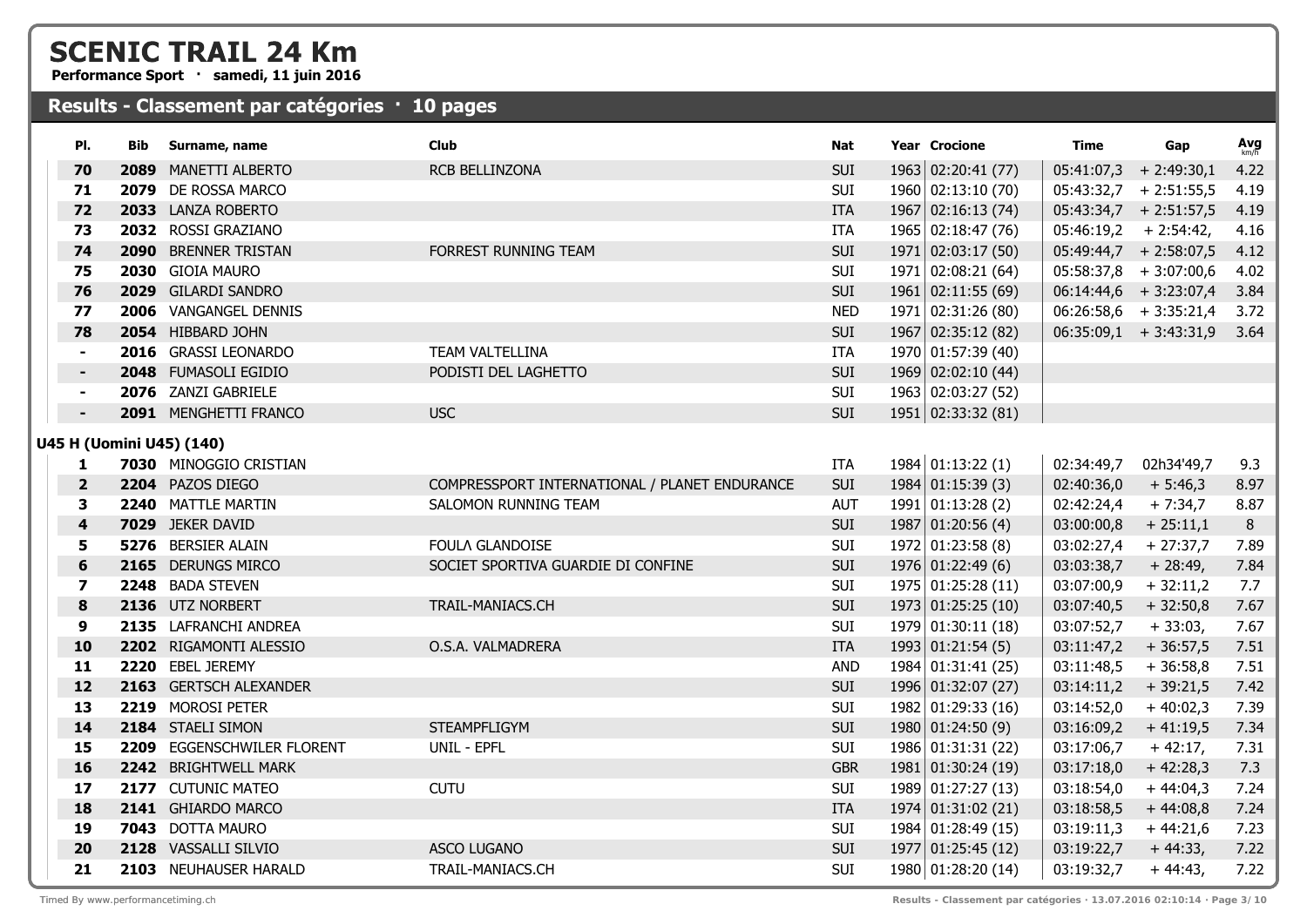**Performance Sport · samedi, 11 juin 2016**

| PI.                      | Bib  | Surname, name              | <b>Club</b>                                   | Nat        | <b>Year Crocione</b> | Time                     | Gap                           | Avg  |
|--------------------------|------|----------------------------|-----------------------------------------------|------------|----------------------|--------------------------|-------------------------------|------|
| 70                       | 2089 | <b>MANETTI ALBERTO</b>     | RCB BELLINZONA                                | <b>SUI</b> | 1963 02:20:41 (77)   | 05:41:07,3               | $+2:49:30,1$                  | 4.22 |
| 71                       |      | 2079 DE ROSSA MARCO        |                                               | SUI        | 1960 02:13:10 (70)   |                          | $05:43:32,7$ + 2:51:55,5      | 4.19 |
| 72                       |      | 2033 LANZA ROBERTO         |                                               | <b>ITA</b> | 1967 02:16:13 (74)   | $05:43:34,7$ + 2:51:57,5 |                               | 4.19 |
| 73                       |      | 2032 ROSSI GRAZIANO        |                                               | <b>ITA</b> | 1965 02:18:47 (76)   | $05:46:19,2 + 2:54:42,$  |                               | 4.16 |
| 74                       |      | 2090 BRENNER TRISTAN       | FORREST RUNNING TEAM                          | SUI        | 1971   02:03:17(50)  | $05:49:44,7$ + 2:58:07,5 |                               | 4.12 |
| 75                       |      | 2030 GIOIA MAURO           |                                               | SUI        | 1971 02:08:21 (64)   |                          | $05:58:37,8$ + 3:07:00,6      | 4.02 |
| 76                       |      | 2029 GILARDI SANDRO        |                                               | SUI        | 1961   02:11:55(69)  |                          | $06:14:44,6$ + 3:23:07,4      | 3.84 |
| 77                       |      | 2006 VANGANGEL DENNIS      |                                               | <b>NED</b> | 1971 02:31:26 (80)   |                          | $06:26:58,6$ + 3:35:21,4      | 3.72 |
| 78                       |      | 2054 HIBBARD JOHN          |                                               | SUI        | 1967 02:35:12 (82)   |                          | $06:35:09,1$ + 3:43:31,9 3.64 |      |
|                          |      | 2016 GRASSI LEONARDO       | TEAM VALTELLINA                               | ITA        | 1970 01:57:39 (40)   |                          |                               |      |
|                          |      | 2048 FUMASOLI EGIDIO       | PODISTI DEL LAGHETTO                          | <b>SUI</b> | 1969 02:02:10 (44)   |                          |                               |      |
| $\blacksquare$           |      | 2076 ZANZI GABRIELE        |                                               | SUI        | 1963 02:03:27 (52)   |                          |                               |      |
|                          |      | 2091 MENGHETTI FRANCO      | <b>USC</b>                                    | SUI        | 1951 02:33:32 (81)   |                          |                               |      |
| U45 H (Uomini U45) (140) |      |                            |                                               |            |                      |                          |                               |      |
| 1                        |      | 7030 MINOGGIO CRISTIAN     |                                               | ITA        | 1984 01:13:22 (1)    | 02:34:49,7               | 02h34'49,7                    | 9.3  |
| $\overline{2}$           |      | 2204 PAZOS DIEGO           | COMPRESSPORT INTERNATIONAL / PLANET ENDURANCE | <b>SUI</b> | 1984   01:15:39(3)   | 02:40:36,0               | $+5:46,3$                     | 8.97 |
| 3                        |      | 2240 MATTLE MARTIN         | SALOMON RUNNING TEAM                          | <b>AUT</b> | 1991   01:13:28(2)   | 02:42:24,4               | $+7:34,7$                     | 8.87 |
| 4                        |      | 7029 JEKER DAVID           |                                               | <b>SUI</b> | 1987   01:20:56(4)   | 03:00:00,8               | $+25:11,1$                    | 8    |
| 5                        |      | 5276 BERSIER ALAIN         | FOULA GLANDOISE                               | SUI        | 1972   01:23:58(8)   | 03:02:27,4               | $+27:37,7$                    | 7.89 |
| $6\phantom{1}6$          |      | 2165 DERUNGS MIRCO         | SOCIET SPORTIVA GUARDIE DI CONFINE            | SUI        | $1976$ 01:22:49 (6)  | 03:03:38,7               | $+28:49,$                     | 7.84 |
| 7                        |      | 2248 BADA STEVEN           |                                               | SUI        | 1975 01:25:28 (11)   | 03:07:00,9               | $+32:11,2$                    | 7.7  |
| 8                        |      | 2136 UTZ NORBERT           | TRAIL-MANIACS.CH                              | SUI        | 1973   01:25:25(10)  | 03:07:40,5               | $+32:50,8$                    | 7.67 |
| 9                        |      | 2135 LAFRANCHI ANDREA      |                                               | SUI        | 1979 01:30:11 (18)   | 03:07:52,7               | $+33:03,$                     | 7.67 |
| 10                       |      | 2202 RIGAMONTI ALESSIO     | O.S.A. VALMADRERA                             | <b>ITA</b> | 1993 01:21:54 (5)    | 03:11:47,2               | $+36:57,5$                    | 7.51 |
| 11                       |      | 2220 EBEL JEREMY           |                                               | <b>AND</b> | 1984 01:31:41 (25)   | 03:11:48,5               | $+36:58,8$                    | 7.51 |
| 12                       |      | 2163 GERTSCH ALEXANDER     |                                               | <b>SUI</b> | 1996 01:32:07 (27)   | 03:14:11,2               | $+39:21,5$                    | 7.42 |
| 13                       |      | 2219 MOROSI PETER          |                                               | SUI        | 1982 01:29:33 (16)   | 03:14:52,0               | $+40:02,3$                    | 7.39 |
| 14                       |      | 2184 STAELI SIMON          | <b>STEAMPFLIGYM</b>                           | <b>SUI</b> | 1980   01:24:50(9)   | 03:16:09,2               | $+41:19,5$                    | 7.34 |
| 15                       |      | 2209 EGGENSCHWILER FLORENT | UNIL - EPFL                                   | SUI        | 1986 01:31:31 (22)   | 03:17:06,7               | $+42:17,$                     | 7.31 |
| 16                       |      | 2242 BRIGHTWELL MARK       |                                               | <b>GBR</b> | 1981 01:30:24 (19)   | 03:17:18,0               | $+42:28,3$                    | 7.3  |
| 17                       |      | 2177 CUTUNIC MATEO         | <b>CUTU</b>                                   | SUI        | 1989 01:27:27 (13)   | 03:18:54,0               | $+44:04,3$                    | 7.24 |
| 18                       |      | 2141 GHIARDO MARCO         |                                               | <b>ITA</b> | 1974 01:31:02 (21)   | 03:18:58,5               | $+44:08,8$                    | 7.24 |
| 19                       |      | 7043 DOTTA MAURO           |                                               | SUI        | 1984 01:28:49 (15)   | 03:19:11,3               | $+44:21,6$                    | 7.23 |
| 20                       |      | 2128 VASSALLI SILVIO       | ASCO LUGANO                                   | <b>SUI</b> | 1977 01:25:45 (12)   | 03:19:22,7               | $+44:33,$                     | 7.22 |
| 21                       |      | 2103 NEUHAUSER HARALD      | TRAIL-MANIACS.CH                              | <b>SUI</b> | 1980 01:28:20 (14)   | 03:19:32,7               | $+44:43,$                     | 7.22 |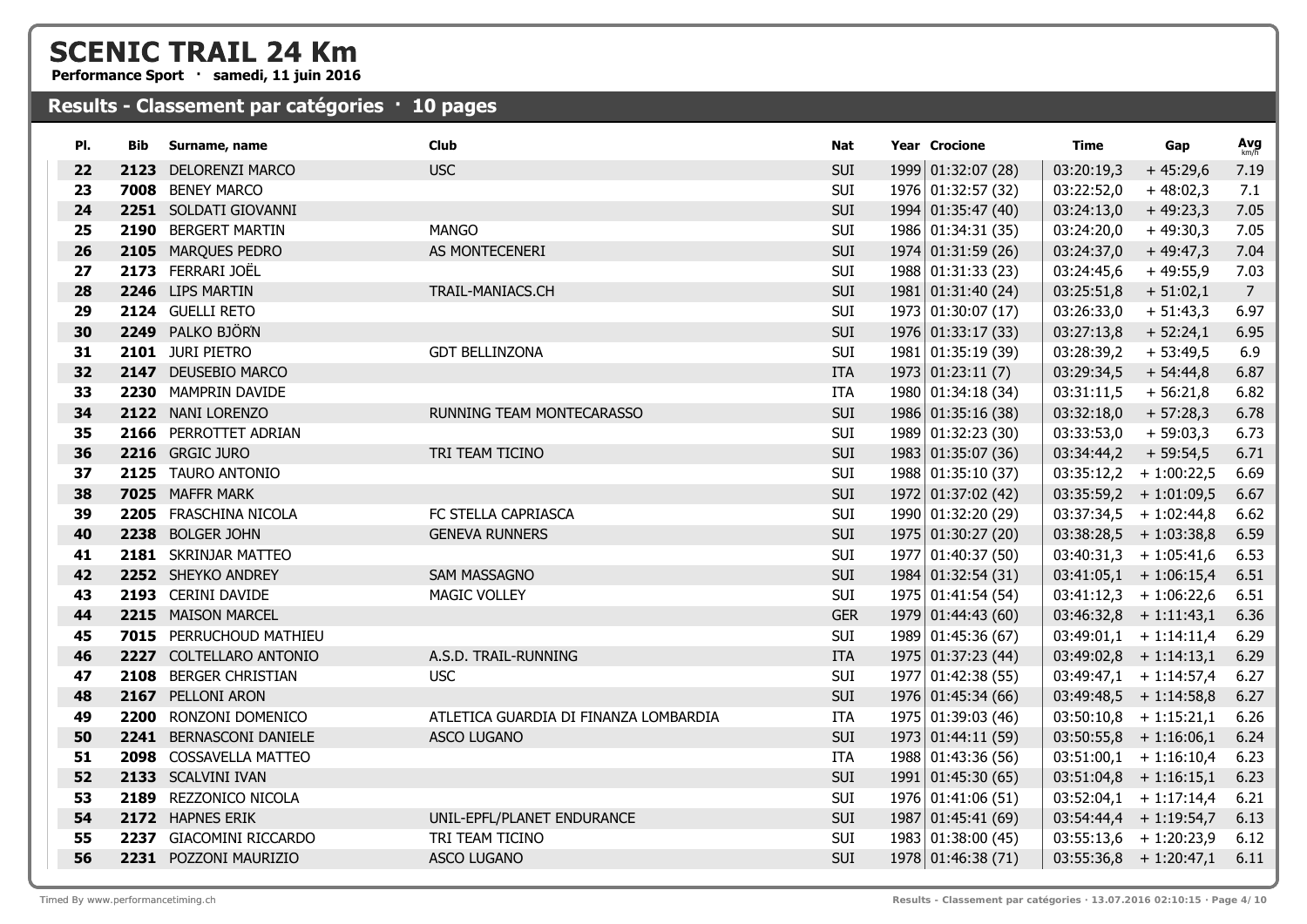**Performance Sport · samedi, 11 juin 2016**

| PI. | Bib | Surname, name           | <b>Club</b>                           | Nat        | <b>Year Crocione</b> | Time       | Gap                      | Avg            |
|-----|-----|-------------------------|---------------------------------------|------------|----------------------|------------|--------------------------|----------------|
| 22  |     | 2123 DELORENZI MARCO    | <b>USC</b>                            | <b>SUI</b> | 1999 01:32:07 (28)   | 03:20:19,3 | $+45:29,6$               | 7.19           |
| 23  |     | 7008 BENEY MARCO        |                                       | SUI        | 1976 01:32:57 (32)   | 03:22:52,0 | $+48:02,3$               | 7.1            |
| 24  |     | 2251 SOLDATI GIOVANNI   |                                       | SUI        | 1994 01:35:47 (40)   | 03:24:13,0 | $+49:23,3$               | 7.05           |
| 25  |     | 2190 BERGERT MARTIN     | <b>MANGO</b>                          | SUI        | 1986 01:34:31 (35)   | 03:24:20,0 | $+49:30,3$               | 7.05           |
| 26  |     | 2105 MARQUES PEDRO      | AS MONTECENERI                        | SUI        | 1974 01:31:59 (26)   | 03:24:37,0 | $+49:47,3$               | 7.04           |
| 27  |     | 2173 FERRARI JOËL       |                                       | SUI        | 1988 01:31:33 (23)   | 03:24:45,6 | $+49:55,9$               | 7.03           |
| 28  |     | 2246 LIPS MARTIN        | TRAIL-MANIACS.CH                      | <b>SUI</b> | 1981 01:31:40 (24)   | 03:25:51,8 | $+ 51:02,1$              | $\overline{7}$ |
| 29  |     | 2124 GUELLI RETO        |                                       | SUI        | 1973 01:30:07 (17)   | 03:26:33,0 | $+ 51:43,3$              | 6.97           |
| 30  |     | 2249 PALKO BJÖRN        |                                       | <b>SUI</b> | 1976 01:33:17 (33)   | 03:27:13,8 | $+ 52:24,1$              | 6.95           |
| 31  |     | 2101 JURI PIETRO        | <b>GDT BELLINZONA</b>                 | SUI        | 1981 01:35:19 (39)   | 03:28:39,2 | $+53:49,5$               | 6.9            |
| 32  |     | 2147 DEUSEBIO MARCO     |                                       | <b>ITA</b> | 1973   01:23:11 (7)  | 03:29:34,5 | $+54:44,8$               | 6.87           |
| 33  |     | 2230 MAMPRIN DAVIDE     |                                       | ITA        | 1980 01:34:18 (34)   | 03:31:11,5 | $+56:21,8$               | 6.82           |
| 34  |     | 2122 NANI LORENZO       | RUNNING TEAM MONTECARASSO             | SUI        | 1986 01:35:16 (38)   | 03:32:18,0 | $+57:28,3$               | 6.78           |
| 35  |     | 2166 PERROTTET ADRIAN   |                                       | SUI        | 1989 01:32:23 (30)   | 03:33:53,0 | $+59:03,3$               | 6.73           |
| 36  |     | 2216 GRGIC JURO         | TRI TEAM TICINO                       | <b>SUI</b> | 1983 01:35:07 (36)   | 03:34:44,2 | $+59:54,5$               | 6.71           |
| 37  |     | 2125 TAURO ANTONIO      |                                       | SUI        | 1988 01:35:10 (37)   | 03:35:12,2 | $+1:00:22,5$             | 6.69           |
| 38  |     | 7025 MAFFR MARK         |                                       | <b>SUI</b> | 1972 01:37:02 (42)   |            | $03:35:59,2 + 1:01:09,5$ | 6.67           |
| 39  |     | 2205 FRASCHINA NICOLA   | FC STELLA CAPRIASCA                   | SUI        | 1990 01:32:20 (29)   |            | $03:37:34,5 + 1:02:44,8$ | 6.62           |
| 40  |     | 2238 BOLGER JOHN        | <b>GENEVA RUNNERS</b>                 | SUI        | 1975 01:30:27 (20)   |            | $03:38:28,5$ + 1:03:38,8 | 6.59           |
| 41  |     | 2181 SKRINJAR MATTEO    |                                       | SUI        | 1977 01:40:37 (50)   |            | $03:40:31,3 + 1:05:41,6$ | 6.53           |
| 42  |     | 2252 SHEYKO ANDREY      | <b>SAM MASSAGNO</b>                   | <b>SUI</b> | 1984 01:32:54 (31)   |            | $03:41:05,1$ + 1:06:15,4 | 6.51           |
| 43  |     | 2193 CERINI DAVIDE      | MAGIC VOLLEY                          | SUI        | 1975 01:41:54 (54)   |            | $03:41:12,3 + 1:06:22,6$ | 6.51           |
| 44  |     | 2215 MAISON MARCEL      |                                       | <b>GER</b> | 1979 01:44:43 (60)   |            | $03:46:32,8 + 1:11:43,1$ | 6.36           |
| 45  |     | 7015 PERRUCHOUD MATHIEU |                                       | SUI        | 1989 01:45:36 (67)   |            | $03:49:01,1 + 1:14:11,4$ | 6.29           |
| 46  |     | 2227 COLTELLARO ANTONIO | A.S.D. TRAIL-RUNNING                  | <b>ITA</b> | 1975 01:37:23 (44)   |            | $03:49:02,8 + 1:14:13,1$ | 6.29           |
| 47  |     | 2108 BERGER CHRISTIAN   | <b>USC</b>                            | SUI        | 1977 01:42:38 (55)   |            | $03:49:47,1 + 1:14:57,4$ | 6.27           |
| 48  |     | 2167 PELLONI ARON       |                                       | SUI        | 1976 01:45:34 (66)   |            | $03:49:48,5 + 1:14:58,8$ | 6.27           |
| 49  |     | 2200 RONZONI DOMENICO   | ATLETICA GUARDIA DI FINANZA LOMBARDIA | <b>ITA</b> | 1975 01:39:03 (46)   |            | $03:50:10,8$ + 1:15:21,1 | 6.26           |
| 50  |     | 2241 BERNASCONI DANIELE | ASCO LUGANO                           | SUI        | 1973 01:44:11 (59)   |            | $03:50:55,8$ + 1:16:06,1 | 6.24           |
| 51  |     | 2098 COSSAVELLA MATTEO  |                                       | ITA        | 1988 01:43:36 (56)   |            | $03:51:00,1 + 1:16:10,4$ | 6.23           |
| 52  |     | 2133 SCALVINI IVAN      |                                       | <b>SUI</b> | 1991 01:45:30 (65)   |            | $03:51:04,8$ + 1:16:15,1 | 6.23           |
| 53  |     | 2189 REZZONICO NICOLA   |                                       | SUI        | 1976 01:41:06 (51)   |            | $03:52:04,1 + 1:17:14,4$ | 6.21           |
| 54  |     | 2172 HAPNES ERIK        | UNIL-EPFL/PLANET ENDURANCE            | <b>SUI</b> | 1987 01:45:41(69)    |            | $03:54:44,4 + 1:19:54,7$ | 6.13           |
| 55  |     | 2237 GIACOMINI RICCARDO | TRI TEAM TICINO                       | SUI        | 1983 01:38:00 (45)   |            | $03:55:13,6$ + 1:20:23,9 | 6.12           |
| 56  |     | 2231 POZZONI MAURIZIO   | ASCO LUGANO                           | SUI        | 1978 01:46:38 (71)   |            | $03:55:36,8 + 1:20:47,1$ | 6.11           |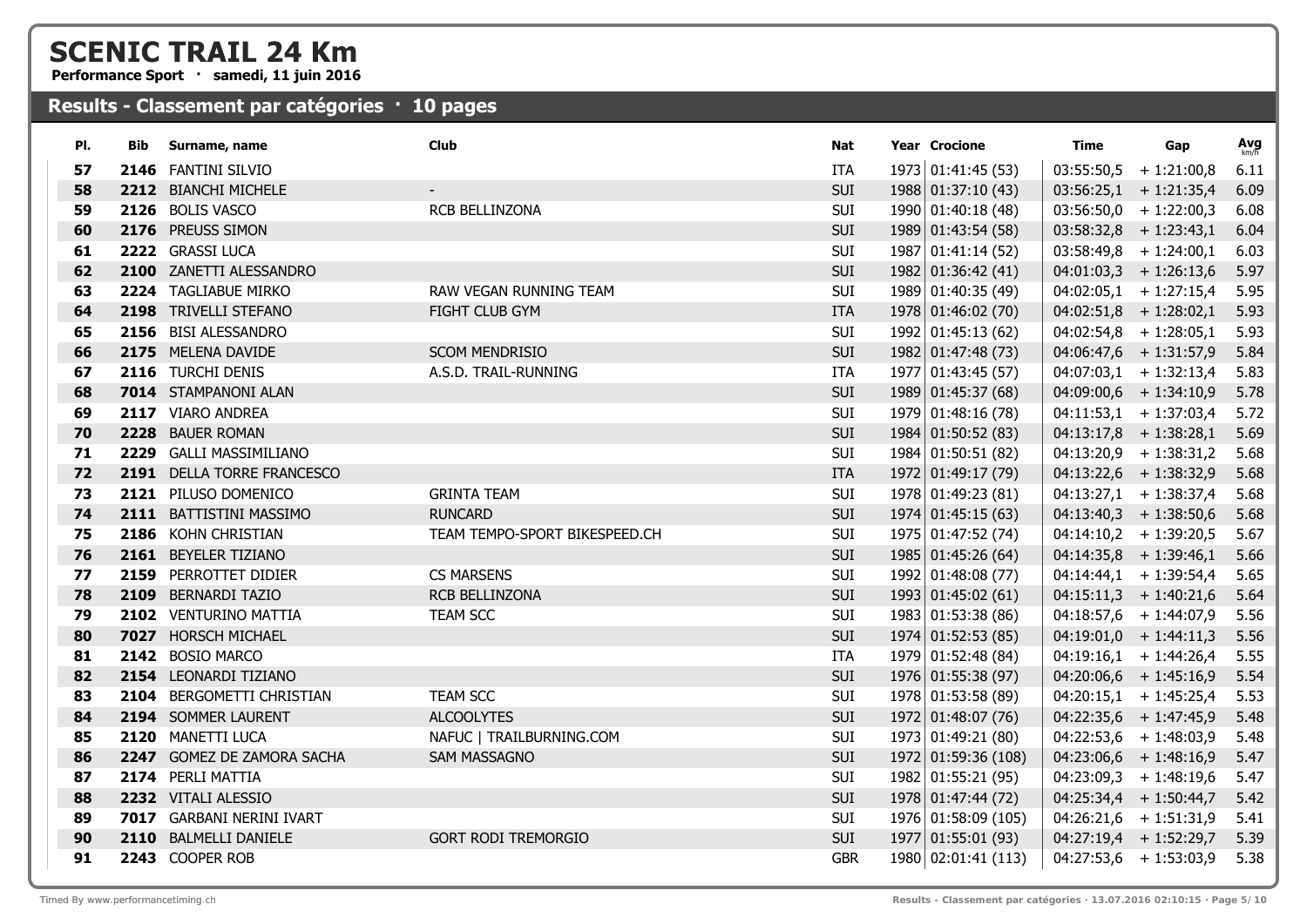**Performance Sport · samedi, 11 juin 2016**

| PI.      | Bib | Surname, name                                      | Club                          | Nat        | <b>Year Crocione</b>     | Time | Gap                      | Avg  |
|----------|-----|----------------------------------------------------|-------------------------------|------------|--------------------------|------|--------------------------|------|
| 57       |     | 2146 FANTINI SILVIO                                |                               | <b>ITA</b> | 1973 01:41:45 (53)       |      | $03:55:50,5$ + 1:21:00,8 | 6.11 |
| 58       |     | 2212 BIANCHI MICHELE                               |                               | <b>SUI</b> | 1988 01:37:10 (43)       |      | $03:56:25,1$ + 1:21:35,4 | 6.09 |
| 59       |     | 2126 BOLIS VASCO                                   | RCB BELLINZONA                | SUI        | 1990 01:40:18 (48)       |      | $03:56:50,0 + 1:22:00,3$ | 6.08 |
| 60       |     | 2176 PREUSS SIMON                                  |                               | <b>SUI</b> | 1989 01:43:54 (58)       |      | $03:58:32,8$ + 1:23:43,1 | 6.04 |
| 61       |     | 2222 GRASSI LUCA                                   |                               | SUI        | 1987 01:41:14 (52)       |      | $03:58:49,8$ + 1:24:00,1 | 6.03 |
| 62       |     | 2100 ZANETTI ALESSANDRO                            |                               | SUI        | 1982 01:36:42 (41)       |      | $04:01:03,3 + 1:26:13,6$ | 5.97 |
| 63       |     | 2224 TAGLIABUE MIRKO                               | RAW VEGAN RUNNING TEAM        | SUI        | 1989 01:40:35 (49)       |      | $04:02:05,1$ + 1:27:15,4 | 5.95 |
| 64       |     | 2198 TRIVELLI STEFANO                              | FIGHT CLUB GYM                | <b>ITA</b> | 1978 01:46:02 (70)       |      | $04:02:51,8$ + 1:28:02,1 | 5.93 |
| 65       |     | 2156 BISI ALESSANDRO                               |                               | SUI        | 1992 01:45:13 (62)       |      | $04:02:54,8$ + 1:28:05,1 | 5.93 |
| 66       |     | 2175 MELENA DAVIDE                                 | <b>SCOM MENDRISIO</b>         | <b>SUI</b> | 1982 01:47:48 (73)       |      | $04:06:47,6$ + 1:31:57,9 | 5.84 |
| 67       |     | 2116 TURCHI DENIS                                  | A.S.D. TRAIL-RUNNING          | ITA        | 1977 01:43:45 (57)       |      | $04:07:03,1$ + 1:32:13,4 | 5.83 |
| 68       |     | 7014 STAMPANONI ALAN                               |                               | <b>SUI</b> | 1989 01:45:37 (68)       |      | $04:09:00,6$ + 1:34:10,9 | 5.78 |
| 69       |     | 2117 VIARO ANDREA                                  |                               | SUI        | 1979 01:48:16 (78)       |      | $04:11:53,1$ + 1:37:03,4 | 5.72 |
| 70       |     | 2228 BAUER ROMAN                                   |                               | SUI        | 1984 01:50:52 (83)       |      | $04:13:17,8$ + 1:38:28,1 | 5.69 |
| 71       |     | 2229 GALLI MASSIMILIANO                            |                               | SUI        | 1984 01:50:51 (82)       |      | $04:13:20,9$ + 1:38:31,2 | 5.68 |
| 72       |     | 2191 DELLA TORRE FRANCESCO                         |                               | <b>ITA</b> | 1972 01:49:17 (79)       |      | $04:13:22,6 + 1:38:32,9$ | 5.68 |
| 73       |     | 2121 PILUSO DOMENICO                               | <b>GRINTA TEAM</b>            | <b>SUI</b> | 1978 01:49:23 (81)       |      | $04:13:27,1$ + 1:38:37,4 | 5.68 |
| 74       |     | 2111 BATTISTINI MASSIMO                            | <b>RUNCARD</b>                | SUI        | $1974 \mid 01:45:15(63)$ |      | $04:13:40,3 + 1:38:50,6$ | 5.68 |
| 75       |     | 2186 KOHN CHRISTIAN                                | TEAM TEMPO-SPORT BIKESPEED.CH | SUI        | 1975 01:47:52 (74)       |      | $04:14:10,2 + 1:39:20,5$ | 5.67 |
| 76       |     | 2161 BEYELER TIZIANO                               |                               | <b>SUI</b> | 1985 01:45:26 (64)       |      | $04:14:35,8 + 1:39:46,1$ | 5.66 |
| 77       |     | 2159 PERROTTET DIDIER                              | <b>CS MARSENS</b>             | SUI        | 1992 01:48:08 (77)       |      | $04:14:44,1$ + 1:39:54,4 | 5.65 |
| 78       |     | 2109 BERNARDI TAZIO                                | RCB BELLINZONA                | <b>SUI</b> | 1993 01:45:02 (61)       |      | $04:15:11,3 + 1:40:21,6$ | 5.64 |
| 79       |     | 2102 VENTURINO MATTIA                              | <b>TEAM SCC</b>               | SUI        | 1983 01:53:38 (86)       |      | $04:18:57,6$ + 1:44:07,9 | 5.56 |
| 80       |     | 7027 HORSCH MICHAEL                                |                               | SUI        | 1974 01:52:53 (85)       |      | $04:19:01,0 + 1:44:11,3$ | 5.56 |
| 81       |     | 2142 BOSIO MARCO                                   |                               | ITA        | 1979 01:52:48 (84)       |      | $04:19:16,1$ + 1:44:26,4 | 5.55 |
| 82       |     | 2154 LEONARDI TIZIANO                              |                               | <b>SUI</b> | 1976 01:55:38 (97)       |      | $04:20:06,6$ + 1:45:16,9 | 5.54 |
| 83       |     | 2104 BERGOMETTI CHRISTIAN                          | <b>TEAM SCC</b>               | SUI        | 1978 01:53:58 (89)       |      | $04:20:15,1$ + 1:45:25,4 | 5.53 |
| 84       |     | 2194 SOMMER LAURENT                                | <b>ALCOOLYTES</b>             | <b>SUI</b> | 1972 01:48:07 (76)       |      | $04:22:35,6$ + 1:47:45,9 | 5.48 |
| 85       |     | 2120 MANETTI LUCA                                  | NAFUC   TRAILBURNING.COM      | SUI        | 1973 01:49:21 (80)       |      | $04:22:53,6$ + 1:48:03,9 | 5.48 |
| 86       |     | 2247 GOMEZ DE ZAMORA SACHA                         | <b>SAM MASSAGNO</b>           | <b>SUI</b> | 1972 01:59:36 (108)      |      | $04:23:06,6$ + 1:48:16,9 | 5.47 |
| 87       |     | 2174 PERLI MATTIA                                  |                               | <b>SUI</b> | 1982 01:55:21 (95)       |      | $04:23:09,3 + 1:48:19,6$ | 5.47 |
| 88       |     | 2232 VITALI ALESSIO                                |                               | <b>SUI</b> | 1978 01:47:44 (72)       |      | $04:25:34,4$ + 1:50:44,7 | 5.42 |
| 89<br>90 |     | 7017 GARBANI NERINI IVART<br>2110 BALMELLI DANIELE | <b>GORT RODI TREMORGIO</b>    | SUI<br>SUI | 1976 01:58:09 (105)      |      | $04:26:21,6$ + 1:51:31,9 | 5.41 |
| 91       |     |                                                    |                               |            | 1977 01:55:01 (93)       |      | $04:27:19,4$ + 1:52:29,7 | 5.39 |
|          |     | 2243 COOPER ROB                                    |                               | <b>GBR</b> | 1980 02:01:41 (113)      |      | $04:27:53,6$ + 1:53:03,9 | 5.38 |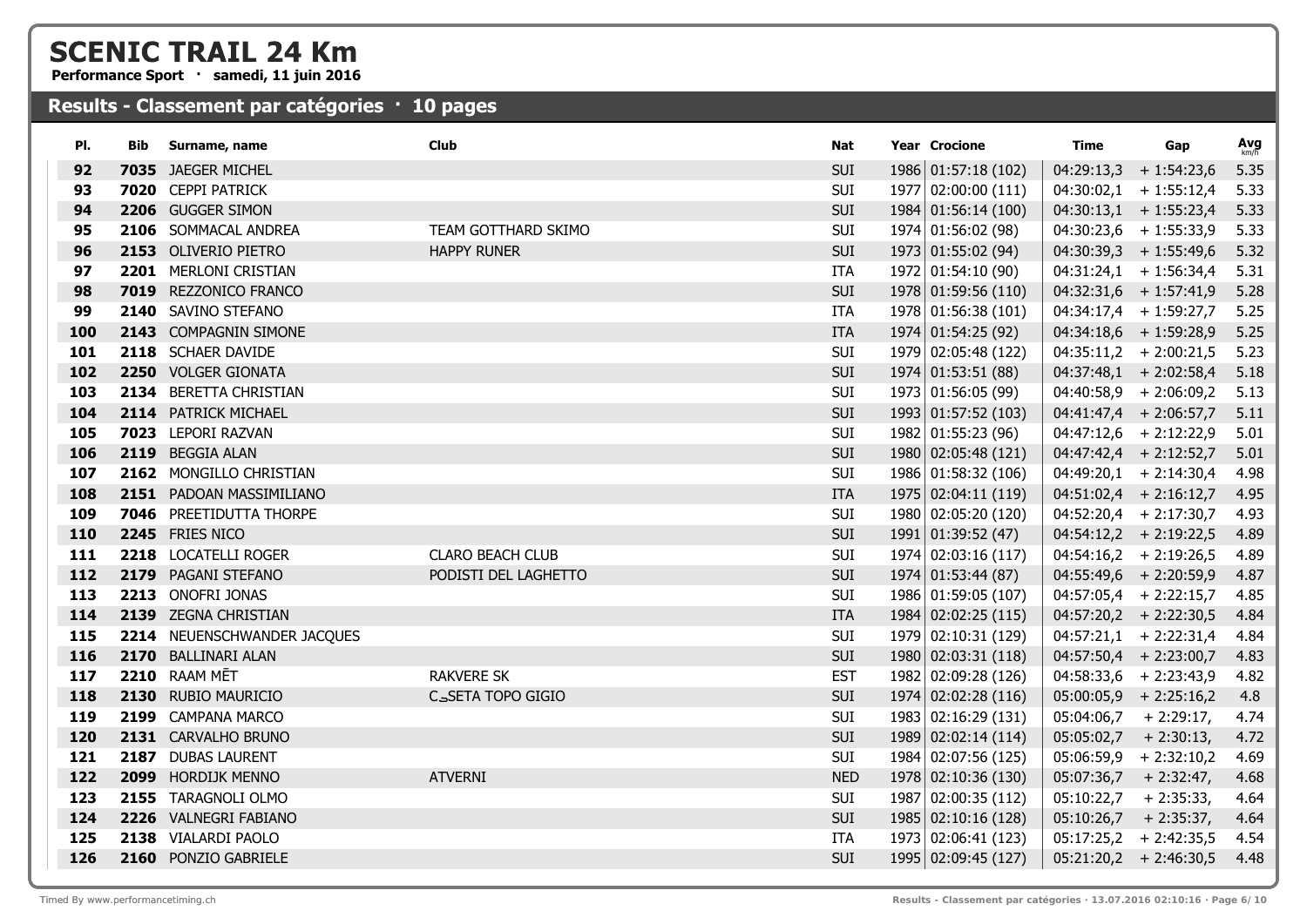**Performance Sport · samedi, 11 juin 2016**

| PI.        | <b>Bib</b> | Surname, name                                | <b>Club</b>             | Nat                      | <b>Year Crocione</b> | Time       | Gap                      | $Avg$ <sub>km/h</sub> |
|------------|------------|----------------------------------------------|-------------------------|--------------------------|----------------------|------------|--------------------------|-----------------------|
| 92         |            | 7035 JAEGER MICHEL                           |                         | <b>SUI</b>               | 1986 01:57:18 (102)  | 04:29:13,3 | $+1:54:23,6$             | 5.35                  |
| 93         |            | 7020 CEPPI PATRICK                           |                         | SUI                      | 1977 02:00:00 (111)  |            | $04:30:02,1$ + 1:55:12,4 | 5.33                  |
| 94         |            | 2206 GUGGER SIMON                            |                         | SUI                      | 1984 01:56:14 (100)  |            | $04:30:13,1$ + 1:55:23,4 | 5.33                  |
| 95         |            | 2106 SOMMACAL ANDREA                         | TEAM GOTTHARD SKIMO     | SUI                      | 1974 01:56:02 (98)   |            | $04:30:23,6$ + 1:55:33,9 | 5.33                  |
| 96         |            | 2153 OLIVERIO PIETRO                         | <b>HAPPY RUNER</b>      | <b>SUI</b>               | 1973 01:55:02 (94)   |            | $04:30:39,3 + 1:55:49,6$ | 5.32                  |
| 97         |            | 2201 MERLONI CRISTIAN                        |                         | <b>ITA</b>               | 1972 01:54:10 (90)   |            | $04:31:24,1$ + 1:56:34,4 | 5.31                  |
| 98         |            | 7019 REZZONICO FRANCO                        |                         | <b>SUI</b>               | 1978 01:59:56 (110)  |            | $04:32:31,6$ + 1:57:41,9 | 5.28                  |
| 99         |            | 2140 SAVINO STEFANO                          |                         | <b>ITA</b>               | 1978 01:56:38 (101)  |            | $04:34:17,4$ + 1:59:27,7 | 5.25                  |
| 100        |            | 2143 COMPAGNIN SIMONE                        |                         | <b>ITA</b>               | 1974 01:54:25 (92)   |            | $04:34:18,6$ + 1:59:28,9 | 5.25                  |
| 101        |            | 2118 SCHAER DAVIDE                           |                         | SUI                      | 1979 02:05:48 (122)  |            | $04:35:11,2 + 2:00:21,5$ | 5.23                  |
| 102        |            | 2250 VOLGER GIONATA                          |                         | <b>SUI</b>               | 1974 01:53:51 (88)   |            | $04:37:48,1$ + 2:02:58,4 | 5.18                  |
| 103        |            | 2134 BERETTA CHRISTIAN                       |                         | SUI                      | 1973 01:56:05 (99)   |            | $04:40:58,9$ + 2:06:09,2 | 5.13                  |
| 104        |            | 2114 PATRICK MICHAEL                         |                         | <b>SUI</b>               | 1993 01:57:52 (103)  |            | $04:41:47,4$ + 2:06:57,7 | 5.11                  |
| 105        |            | 7023 LEPORI RAZVAN                           |                         | SUI                      | 1982   01:55:23(96)  |            | $04:47:12,6$ + 2:12:22,9 | 5.01                  |
| 106        |            | 2119 BEGGIA ALAN                             |                         | SUI                      | 1980 02:05:48 (121)  |            | $04:47:42,4$ + 2:12:52,7 | 5.01                  |
| 107        |            | 2162 MONGILLO CHRISTIAN                      |                         | SUI                      | 1986 01:58:32 (106)  |            | $04:49:20,1$ + 2:14:30,4 | 4.98                  |
| 108        |            | 2151 PADOAN MASSIMILIANO                     |                         | <b>ITA</b>               | 1975 02:04:11 (119)  |            | $04:51:02,4$ + 2:16:12,7 | 4.95                  |
| 109        |            | 7046 PREETIDUTTA THORPE                      |                         | SUI                      | 1980 02:05:20 (120)  |            | $04:52:20,4$ + 2:17:30,7 | 4.93                  |
| 110        |            | 2245 FRIES NICO                              |                         | <b>SUI</b>               | 1991 01:39:52 (47)   |            | $04:54:12,2 + 2:19:22,5$ | 4.89                  |
| 111        |            | 2218 LOCATELLI ROGER                         | <b>CLARO BEACH CLUB</b> | SUI                      | 1974 02:03:16 (117)  |            | $04:54:16,2 + 2:19:26,5$ | 4.89                  |
| 112        |            | 2179 PAGANI STEFANO                          | PODISTI DEL LAGHETTO    | SUI                      | 1974 01:53:44 (87)   |            | $04:55:49,6$ + 2:20:59,9 | 4.87                  |
| 113        |            | 2213 ONOFRI JONAS                            |                         | SUI                      | 1986 01:59:05 (107)  |            | $04:57:05,4$ + 2:22:15,7 | 4.85                  |
| 114        |            | 2139 ZEGNA CHRISTIAN                         |                         | <b>ITA</b>               | 1984 02:02:25 (115)  |            | $04:57:20,2 + 2:22:30,5$ | 4.84                  |
| 115        |            | 2214 NEUENSCHWANDER JACQUES                  |                         | SUI                      | 1979 02:10:31 (129)  |            | $04:57:21,1$ + 2:22:31,4 | 4.84                  |
| 116        |            | 2170 BALLINARI ALAN                          |                         | <b>SUI</b>               | 1980 02:03:31 (118)  |            | $04:57:50,4$ + 2:23:00,7 | 4.83                  |
| 117        |            | 2210 RAAM MĒT                                | <b>RAKVERE SK</b>       | <b>EST</b>               | 1982 02:09:28 (126)  |            | $04:58:33,6$ + 2:23:43,9 | 4.82                  |
| 118        |            | 2130 RUBIO MAURICIO                          | CSSETA TOPO GIGIO       | <b>SUI</b>               | 1974 02:02:28 (116)  |            | $05:00:05,9$ + 2:25:16,2 | 4.8                   |
| 119        |            | 2199 CAMPANA MARCO                           |                         | SUI                      | 1983 02:16:29 (131)  | 05:04:06,7 | $+2:29:17,$              | 4.74                  |
| 120        |            | 2131 CARVALHO BRUNO                          |                         | <b>SUI</b>               | 1989 02:02:14 (114)  | 05:05:02,7 | $+2:30:13,$              | 4.72                  |
| 121        |            | 2187 DUBAS LAURENT                           |                         | SUI                      | 1984 02:07:56 (125)  |            | $05:06:59,9$ + 2:32:10,2 | 4.69                  |
| 122        |            | 2099 HORDIJK MENNO<br>2155 TARAGNOLI OLMO    | <b>ATVERNI</b>          | <b>NED</b>               | 1978 02:10:36 (130)  | 05:07:36,7 | $+2:32:47,$              | 4.68                  |
| 123        |            |                                              |                         | SUI                      | 1987 02:00:35 (112)  | 05:10:22,7 | $+2:35:33,$              | 4.64                  |
| 124<br>125 |            | 2226 VALNEGRI FABIANO<br>2138 VIALARDI PAOLO |                         | <b>SUI</b><br><b>ITA</b> | 1985 02:10:16 (128)  | 05:10:26,7 | $+2:35:37,$              | 4.64                  |
| 126        |            |                                              |                         | <b>SUI</b>               | 1973 02:06:41 (123)  |            | $05:17:25,2$ + 2:42:35,5 | 4.54                  |
|            |            | 2160 PONZIO GABRIELE                         |                         |                          | 1995 02:09:45 (127)  |            | $05:21:20,2 + 2:46:30,5$ | 4.48                  |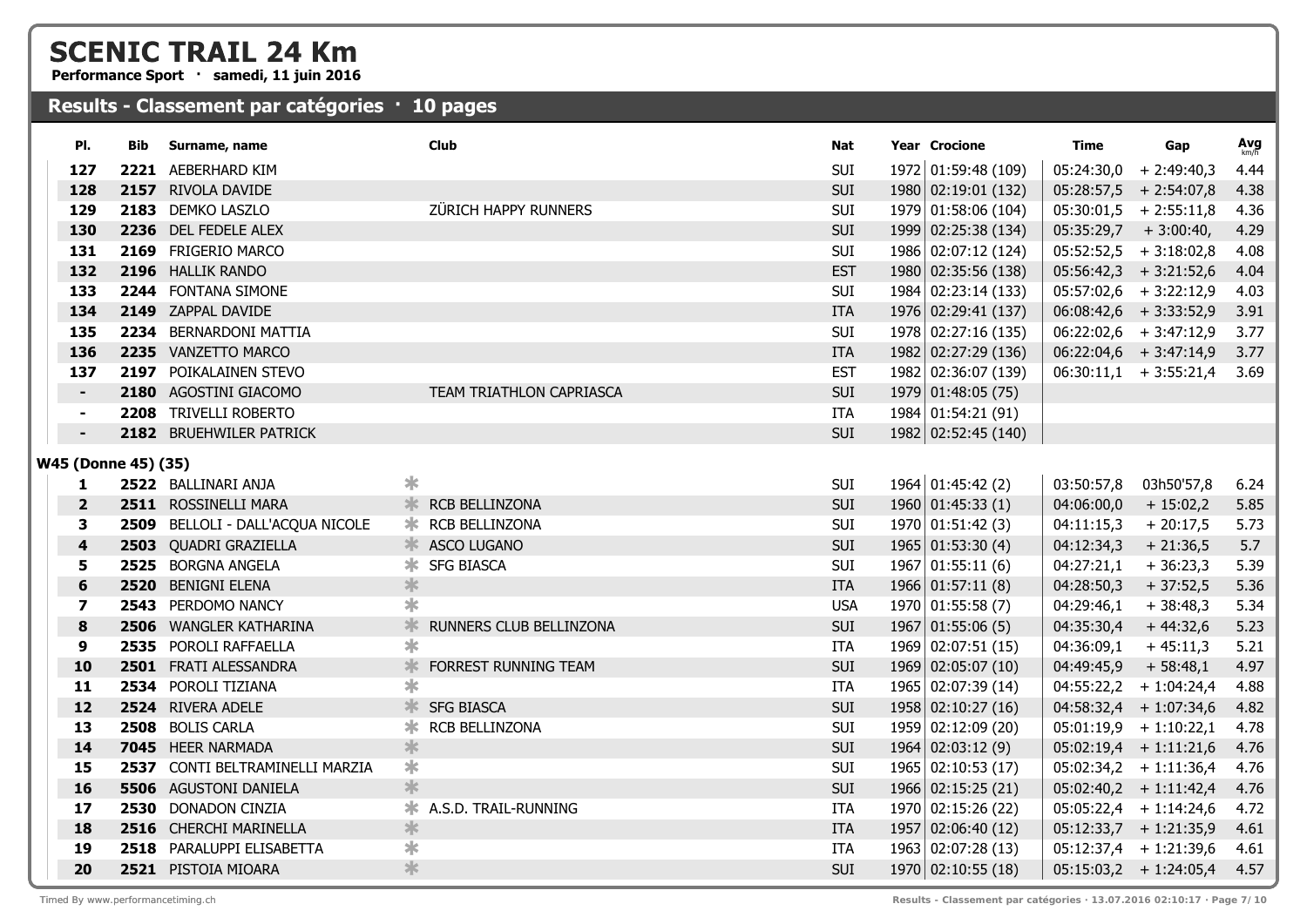**Performance Sport · samedi, 11 juin 2016**

### **Results - Classement par catégories · 10 pages**

| PI.                     | Bib  | Surname, name                    | <b>Club</b>                  | Nat        | <b>Year Crocione</b>     | Time                    | Gap                      | Avg  |
|-------------------------|------|----------------------------------|------------------------------|------------|--------------------------|-------------------------|--------------------------|------|
| 127                     | 2221 | AEBERHARD KIM                    |                              | <b>SUI</b> | 1972 01:59:48 (109)      | 05:24:30,0              | $+2:49:40,3$             | 4.44 |
| 128                     |      | 2157 RIVOLA DAVIDE               |                              | SUI        | 1980 02:19:01 (132)      |                         | $05:28:57,5$ + 2:54:07,8 | 4.38 |
| 129                     |      | 2183 DEMKO LASZLO                | ZÜRICH HAPPY RUNNERS         | SUI        | 1979 01:58:06 (104)      |                         | $05:30:01,5$ + 2:55:11,8 | 4.36 |
| 130                     |      | 2236 DEL FEDELE ALEX             |                              | SUI        | 1999 02:25:38 (134)      | $05:35:29,7$ + 3:00:40, |                          | 4.29 |
| 131                     |      | 2169 FRIGERIO MARCO              |                              | SUI        | 1986 02:07:12 (124)      |                         | $05:52:52,5$ + 3:18:02,8 | 4.08 |
| 132                     |      | 2196 HALLIK RANDO                |                              | <b>EST</b> | 1980 02:35:56 (138)      |                         | $05:56:42,3$ + 3:21:52,6 | 4.04 |
| 133                     |      | 2244 FONTANA SIMONE              |                              | SUI        | 1984 02:23:14 (133)      |                         | $05:57:02,6$ + 3:22:12,9 | 4.03 |
| 134                     |      | 2149 ZAPPAL DAVIDE               |                              | <b>ITA</b> | 1976 02:29:41 (137)      |                         | $06:08:42,6$ + 3:33:52,9 | 3.91 |
| 135                     |      | 2234 BERNARDONI MATTIA           |                              | SUI        | 1978 02:27:16 (135)      |                         | $06:22:02,6$ + 3:47:12,9 | 3.77 |
| 136                     |      | 2235 VANZETTO MARCO              |                              | <b>ITA</b> | 1982 02:27:29 (136)      |                         | $06:22:04,6$ + 3:47:14,9 | 3.77 |
| 137                     |      | 2197 POIKALAINEN STEVO           |                              | <b>EST</b> | 1982 02:36:07 (139)      |                         | $06:30:11,1$ + 3:55:21,4 | 3.69 |
| $\blacksquare$          |      | 2180 AGOSTINI GIACOMO            | TEAM TRIATHLON CAPRIASCA     | SUI        | 1979 01:48:05 (75)       |                         |                          |      |
| $\blacksquare$          |      | 2208 TRIVELLI ROBERTO            |                              | <b>ITA</b> | 1984 01:54:21 (91)       |                         |                          |      |
|                         |      | 2182 BRUEHWILER PATRICK          |                              | SUI        | 1982 02:52:45 (140)      |                         |                          |      |
| W45 (Donne 45) (35)     |      |                                  |                              |            |                          |                         |                          |      |
| 1                       |      | 2522 BALLINARI ANJA              | $\ast$                       | SUI        | $1964$ 01:45:42 (2)      | 03:50:57,8              | 03h50'57,8               | 6.24 |
| $\overline{\mathbf{2}}$ |      | 2511 ROSSINELLI MARA             | <b>K</b> RCB BELLINZONA      | SUI        | 1960 01:45:33(1)         | 04:06:00,0              | $+15:02,2$               | 5.85 |
| 3                       |      | 2509 BELLOLI - DALL'ACQUA NICOLE | <b>*</b> RCB BELLINZONA      | SUI        | 1970   01:51:42(3)       | 04:11:15,3              | $+20:17,5$               | 5.73 |
| 4                       |      | 2503 QUADRI GRAZIELLA            | <b>ASCO LUGANO</b>           | SUI        | $1965$ 01:53:30 (4)      | 04:12:34,3              | $+21:36,5$               | 5.7  |
| 5                       |      | 2525 BORGNA ANGELA               | <b>* SFG BIASCA</b>          | SUI        | 1967 01:55:11(6)         | 04:27:21,1              | $+36:23,3$               | 5.39 |
| 6                       |      | 2520 BENIGNI ELENA               | $\ast$                       | <b>ITA</b> | $1966 \mid 01:57:11(8)$  | 04:28:50,3              | $+37:52,5$               | 5.36 |
| 7                       |      | 2543 PERDOMO NANCY               | $\ast$                       | <b>USA</b> | 1970   01:55:58(7)       | 04:29:46,1              | $+38:48,3$               | 5.34 |
| 8                       |      | 2506 WANGLER KATHARINA           | ∗<br>RUNNERS CLUB BELLINZONA | <b>SUI</b> | $1967$ 01:55:06 (5)      | 04:35:30,4              | $+44:32,6$               | 5.23 |
| 9                       |      | 2535 POROLI RAFFAELLA            | $\ast$                       | <b>ITA</b> | 1969 02:07:51 (15)       | 04:36:09,1              | $+45:11,3$               | 5.21 |
| 10                      |      | 2501 FRATI ALESSANDRA            | ∗<br>FORREST RUNNING TEAM    | SUI        | 1969 02:05:07 (10)       | 04:49:45,9              | $+58:48,1$               | 4.97 |
| 11                      |      | 2534 POROLI TIZIANA              | $\ast$                       | <b>ITA</b> | 1965 02:07:39 (14)       |                         | $04:55:22,2 + 1:04:24,4$ | 4.88 |
| 12                      |      | 2524 RIVERA ADELE                | <b>* SFG BIASCA</b>          | SUI        | 1958 02:10:27 (16)       |                         | $04:58:32,4$ + 1:07:34,6 | 4.82 |
| 13                      |      | 2508 BOLIS CARLA                 | RCB BELLINZONA<br>∗          | SUI        | 1959 02:12:09 (20)       |                         | $05:01:19,9$ + 1:10:22,1 | 4.78 |
| 14                      |      | 7045 HEER NARMADA                | $\ast$                       | SUI        | 1964   02:03:12(9)       |                         | $05:02:19,4$ + 1:11:21,6 | 4.76 |
| 15                      |      | 2537 CONTI BELTRAMINELLI MARZIA  | ∗                            | <b>SUI</b> | $1965 \mid 02:10:53(17)$ |                         | $05:02:34,2 + 1:11:36,4$ | 4.76 |
| 16                      |      | <b>5506</b> AGUSTONI DANIELA     | *                            | <b>SUI</b> | 1966 02:15:25 (21)       |                         | $05:02:40,2 + 1:11:42,4$ | 4.76 |
| 17                      |      | 2530 DONADON CINZIA              | A.S.D. TRAIL-RUNNING<br>∗    | ITA        | 1970 02:15:26 (22)       |                         | $05:05:22,4$ + 1:14:24,6 | 4.72 |
| 18                      |      | 2516 CHERCHI MARINELLA           | *                            | <b>ITA</b> | 1957 02:06:40 (12)       |                         | $05:12:33,7$ + 1:21:35,9 | 4.61 |
| 19                      |      | 2518 PARALUPPI ELISABETTA        | ∗                            | <b>ITA</b> | 1963 02:07:28 (13)       |                         | $05:12:37,4$ + 1:21:39,6 | 4.61 |
| 20                      |      | 2521 PISTOIA MIOARA              | *                            | <b>SUI</b> | 1970 02:10:55 (18)       |                         | $05:15:03,2 + 1:24:05,4$ | 4.57 |
|                         |      |                                  |                              |            |                          |                         |                          |      |

Timed By www.performancetiming.ch **Results - Classement par catégories · 13.07.2016 02:10:17 · Page 7/10**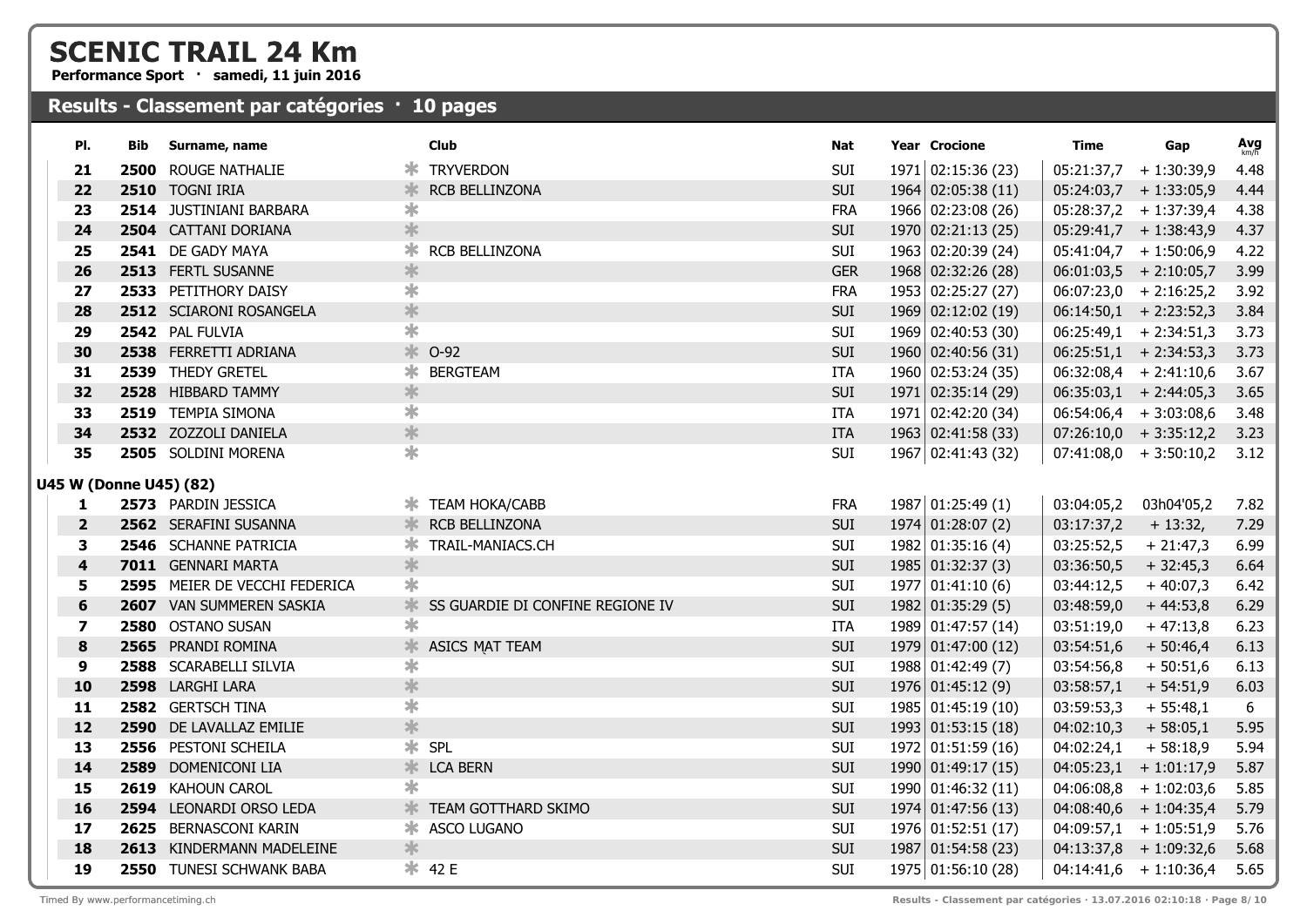**Performance Sport · samedi, 11 juin 2016**

| PI.                     | Bib  | Surname, name                 |                         | <b>Club</b>                      | Nat        | Year Crocione           | Time       | Gap                           | $Avg$ <sub>km/h</sub> |
|-------------------------|------|-------------------------------|-------------------------|----------------------------------|------------|-------------------------|------------|-------------------------------|-----------------------|
| 21                      | 2500 | ROUGE NATHALIE                |                         | <b>* TRYVERDON</b>               | SUI        | 1971   02:15:36(23)     |            | $05:21:37,7$ + 1:30:39,9      | 4.48                  |
| 22                      |      | 2510 TOGNI IRIA               | *                       | RCB BELLINZONA                   | <b>SUI</b> | 1964 02:05:38 (11)      |            | $05:24:03,7$ + 1:33:05,9      | 4.44                  |
| 23                      |      | 2514 JUSTINIANI BARBARA       | ∗                       |                                  | <b>FRA</b> | 1966 02:23:08 (26)      |            | $05:28:37,2 + 1:37:39,4$      | 4.38                  |
| 24                      |      | 2504 CATTANI DORIANA          | $\ast$                  |                                  | SUI        | 1970   02:21:13(25)     |            | $05:29:41,7$ + 1:38:43,9      | 4.37                  |
| 25                      |      | 2541 DE GADY MAYA             |                         | <b>*</b> RCB BELLINZONA          | SUI        | 1963 02:20:39 (24)      |            | $05:41:04,7$ + 1:50:06,9      | 4.22                  |
| 26                      |      | 2513 FERTL SUSANNE            | $\ast$                  |                                  | <b>GER</b> | 1968 02:32:26 (28)      |            | $06:01:03,5$ + 2:10:05,7      | 3.99                  |
| 27                      |      | 2533 PETITHORY DAISY          | $\ast$                  |                                  | <b>FRA</b> | 1953 02:25:27 (27)      |            | $06:07:23,0$ + 2:16:25,2      | 3.92                  |
| 28                      |      | 2512 SCIARONI ROSANGELA       | $\ast$                  |                                  | SUI        | 1969 02:12:02 (19)      |            | $06:14:50,1$ + 2:23:52,3      | 3.84                  |
| 29                      |      | 2542 PAL FULVIA               | $\ast$                  |                                  | SUI        | 1969 02:40:53 (30)      |            | $06:25:49,1$ + 2:34:51,3      | 3.73                  |
| 30                      |      | 2538 FERRETTI ADRIANA         |                         | <b>☀ 0-92</b>                    | SUI        | 1960 02:40:56 (31)      |            | $06:25:51,1$ + 2:34:53,3      | 3.73                  |
| 31                      |      | 2539 THEDY GRETEL             |                         | <b>* BERGTEAM</b>                | ITA        | 1960 02:53:24 (35)      |            | $06:32:08,4$ + 2:41:10,6      | 3.67                  |
| 32                      |      | 2528 HIBBARD TAMMY            | $\ast$                  |                                  | SUI        | 1971 02:35:14 (29)      |            | $06:35:03,1$ + 2:44:05,3      | 3.65                  |
| 33                      |      | 2519 TEMPIA SIMONA            | $\ast$                  |                                  | ITA        | 1971 02:42:20 (34)      |            | $06:54:06,4$ + 3:03:08,6      | 3.48                  |
| 34                      |      | 2532 ZOZZOLI DANIELA          | $\ast$                  |                                  | <b>ITA</b> | 1963 02:41:58 (33)      |            | $07:26:10,0 + 3:35:12,2 3.23$ |                       |
| 35                      |      | 2505 SOLDINI MORENA           | $\ast$                  |                                  | SUI        | 1967 02:41:43 (32)      |            | $07:41:08,0 + 3:50:10,2$      | 3.12                  |
| U45 W (Donne U45) (82)  |      |                               |                         |                                  |            |                         |            |                               |                       |
| 1                       |      | 2573 PARDIN JESSICA           |                         | <b>* TEAM HOKA/CABB</b>          | <b>FRA</b> | 1987 01:25:49 (1)       | 03:04:05,2 | 03h04'05,2                    | 7.82                  |
| $\overline{2}$          |      | 2562 SERAFINI SUSANNA         |                         | <b>K</b> RCB BELLINZONA          | <b>SUI</b> | $1974$ 01:28:07 (2)     | 03:17:37,2 | $+13:32,$                     | 7.29                  |
| 3                       |      | 2546 SCHANNE PATRICIA         |                         | <b>* TRAIL-MANIACS.CH</b>        | SUI        | 1982 01:35:16 (4)       | 03:25:52,5 | $+21:47,3$                    | 6.99                  |
| $\overline{\mathbf{4}}$ |      | 7011 GENNARI MARTA            | *                       |                                  | SUI        | $1985 \mid 01:32:37(3)$ | 03:36:50,5 | $+32:45,3$                    | 6.64                  |
| 5                       |      | 2595 MEIER DE VECCHI FEDERICA | ∗                       |                                  | <b>SUI</b> | 1977   01:41:10(6)      | 03:44:12,5 | $+40:07,3$                    | 6.42                  |
| $6\phantom{1}6$         |      | 2607 VAN SUMMEREN SASKIA      | $\ast$                  | SS GUARDIE DI CONFINE REGIONE IV | SUI        | 1982   01:35:29(5)      | 03:48:59,0 | $+44:53,8$                    | 6.29                  |
| 7                       |      | 2580 OSTANO SUSAN             | ∗                       |                                  | ITA.       | 1989 01:47:57 (14)      | 03:51:19,0 | $+47:13,8$                    | 6.23                  |
| 8                       |      | 2565 PRANDI ROMINA            | $\ast$                  | <b>ASICS MAT TEAM</b>            | SUI        | 1979 01:47:00 (12)      | 03:54:51,6 | $+50:46,4$                    | 6.13                  |
| 9                       |      | 2588 SCARABELLI SILVIA        | $\ast$                  |                                  | SUI        | 1988 01:42:49 (7)       | 03:54:56,8 | $+50:51,6$                    | 6.13                  |
| 10                      |      | 2598 LARGHI LARA              | $\ast$                  |                                  | SUI        | $1976$ 01:45:12 (9)     | 03:58:57,1 | $+54:51,9$                    | 6.03                  |
| 11                      |      | 2582 GERTSCH TINA             | $\overline{\textbf{r}}$ |                                  | SUI        | 1985 01:45:19 (10)      | 03:59:53,3 | $+55:48,1$                    | 6                     |
| 12                      |      | 2590 DE LAVALLAZ EMILIE       | $\ast$                  |                                  | SUI        | 1993   01:53:15(18)     | 04:02:10,3 | $+58:05,1$                    | 5.95                  |
| 13                      |      | 2556 PESTONI SCHEILA          |                         | * SPL                            | SUI        | 1972 01:51:59 (16)      | 04:02:24,1 | $+58:18,9$                    | 5.94                  |
| 14                      |      | 2589 DOMENICONI LIA           |                         | <b>K</b> LCA BERN                | SUI        | 1990 01:49:17 (15)      |            | $04:05:23,1$ + 1:01:17,9      | 5.87                  |
| 15                      |      | 2619 KAHOUN CAROL             | ∗                       |                                  | SUI        | 1990 01:46:32 (11)      |            | $04:06:08,8$ + 1:02:03,6      | 5.85                  |
| 16                      |      | 2594 LEONARDI ORSO LEDA       | $\ast$                  | TEAM GOTTHARD SKIMO              | SUI        | 1974 01:47:56 (13)      |            | $04:08:40,6$ + 1:04:35,4      | 5.79                  |
| 17                      |      | 2625 BERNASCONI KARIN         |                         | * ASCO LUGANO                    | SUI        | 1976 01:52:51 (17)      |            | $04:09:57,1$ + 1:05:51,9      | 5.76                  |
| 18                      |      | 2613 KINDERMANN MADELEINE     | ∗                       |                                  | SUI        | 1987 01:54:58(23)       |            | $04:13:37,8$ + 1:09:32,6      | 5.68                  |
| 19                      |      | 2550 TUNESI SCHWANK BABA      |                         | <b> * 42 E</b>                   | <b>SUI</b> | 1975 01:56:10 (28)      |            | $04:14:41,6 + 1:10:36,4$      | 5.65                  |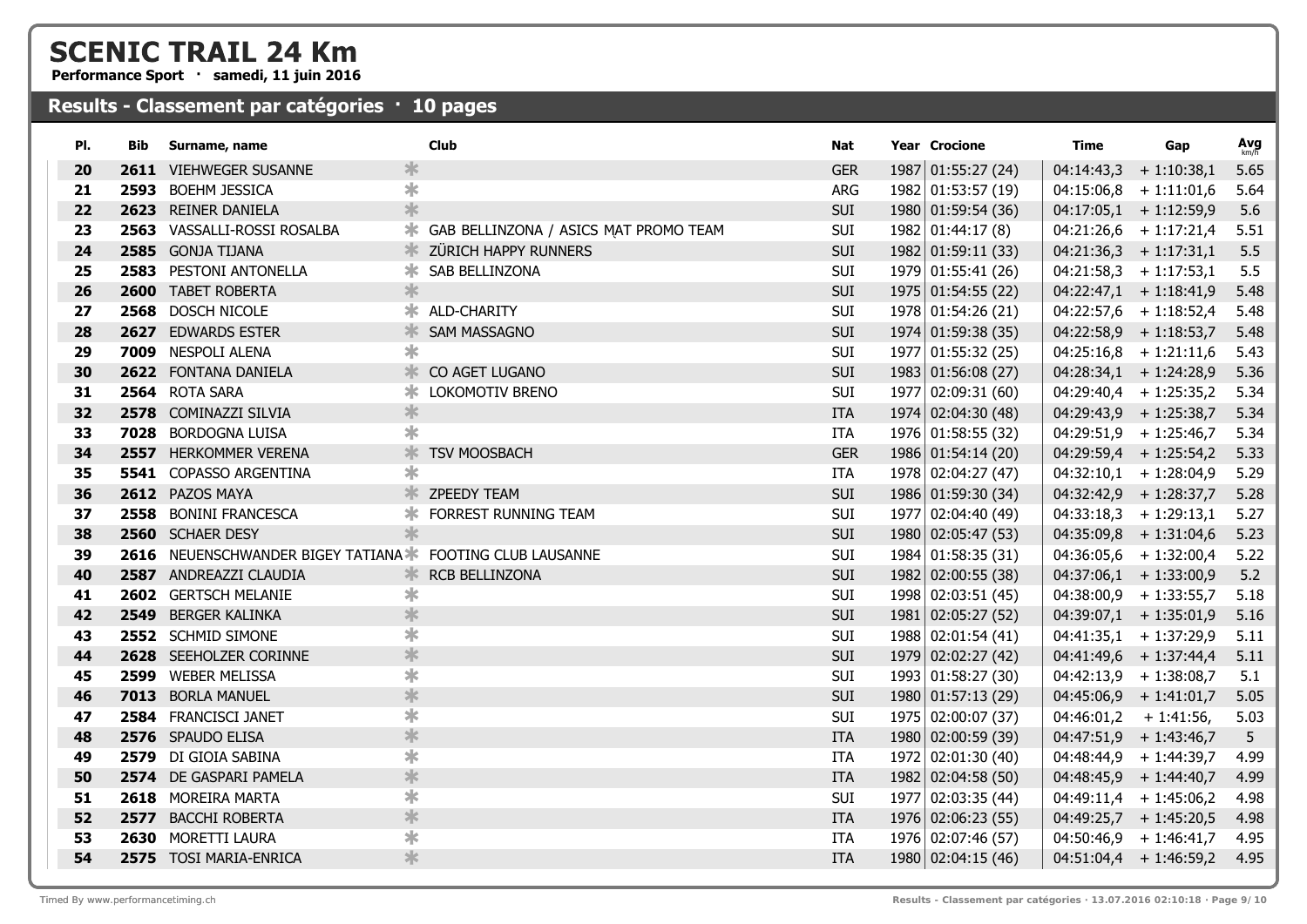**Performance Sport · samedi, 11 juin 2016**

| PI. | Bib. | Surname, name                                           | <b>Club</b>                           | <b>Nat</b> | <b>Year Crocione</b> | <b>Time</b>              | Gap                      | $Avg$ <sub>km/h</sub> |
|-----|------|---------------------------------------------------------|---------------------------------------|------------|----------------------|--------------------------|--------------------------|-----------------------|
| 20  |      | 2611 VIEHWEGER SUSANNE                                  | ∗                                     | <b>GER</b> | 1987 01:55:27 (24)   | 04:14:43,3               | $+1:10:38,1$             | 5.65                  |
| 21  |      | 2593 BOEHM JESSICA                                      | $\ast$                                | ARG        | 1982 01:53:57 (19)   |                          | $04:15:06,8 + 1:11:01,6$ | 5.64                  |
| 22  |      | 2623 REINER DANIELA                                     | *                                     | <b>SUI</b> | 1980 01:59:54 (36)   |                          | $04:17:05,1$ + 1:12:59,9 | 5.6                   |
| 23  |      | 2563 VASSALLI-ROSSI ROSALBA                             | GAB BELLINZONA / ASICS MAT PROMO TEAM | SUI        | 1982 01:44:17 (8)    |                          | $04:21:26,6$ + 1:17:21,4 | 5.51                  |
| 24  |      | 2585 GONJA TIJANA                                       | ZÜRICH HAPPY RUNNERS                  | SUI        | 1982 01:59:11 (33)   | $04:21:36,3 + 1:17:31,1$ |                          | 5.5                   |
| 25  |      | 2583 PESTONI ANTONELLA                                  | SAB BELLINZONA                        | SUI        | 1979 01:55:41 (26)   | $04:21:58,3 + 1:17:53,1$ |                          | 5.5                   |
| 26  |      | 2600 TABET ROBERTA                                      | $\ast$                                | SUI        | 1975 01:54:55 (22)   |                          | $04:22:47,1$ + 1:18:41,9 | 5.48                  |
| 27  |      | 2568 DOSCH NICOLE                                       | ALD-CHARITY                           | SUI        | 1978 01:54:26 (21)   |                          | $04:22:57,6$ + 1:18:52,4 | 5.48                  |
| 28  |      | 2627 EDWARDS ESTER                                      | <b>SAM MASSAGNO</b>                   | SUI        | 1974 01:59:38 (35)   |                          | $04:22:58,9$ + 1:18:53,7 | 5.48                  |
| 29  |      | 7009 NESPOLI ALENA                                      | $\ast$                                | SUI        | 1977 01:55:32 (25)   |                          | $04:25:16,8 + 1:21:11,6$ | 5.43                  |
| 30  |      | 2622 FONTANA DANIELA                                    | ж.<br>CO AGET LUGANO                  | <b>SUI</b> | 1983 01:56:08 (27)   |                          | $04:28:34,1$ + 1:24:28,9 | 5.36                  |
| 31  |      | 2564 ROTA SARA                                          | LOKOMOTIV BRENO                       | SUI        | 1977 02:09:31 (60)   |                          | $04:29:40,4$ + 1:25:35,2 | 5.34                  |
| 32  |      | 2578 COMINAZZI SILVIA                                   | $\ast$                                | <b>ITA</b> | 1974 02:04:30 (48)   |                          | $04:29:43,9$ + 1:25:38,7 | 5.34                  |
| 33  |      | 7028 BORDOGNA LUISA                                     | $\ast$                                | ITA        | 1976 01:58:55 (32)   |                          | $04:29:51,9$ + 1:25:46,7 | 5.34                  |
| 34  |      | 2557 HERKOMMER VERENA                                   | ∗<br><b>TSV MOOSBACH</b>              | <b>GER</b> | 1986 01:54:14 (20)   |                          | $04:29:59,4$ + 1:25:54,2 | 5.33                  |
| 35  |      | 5541 COPASSO ARGENTINA                                  | $\ast$                                | <b>ITA</b> | 1978 02:04:27 (47)   |                          | $04:32:10,1 + 1:28:04,9$ | 5.29                  |
| 36  |      | 2612 PAZOS MAYA                                         | <b>ZPEEDY TEAM</b>                    | SUI        | 1986 01:59:30 (34)   |                          | $04:32:42,9$ + 1:28:37,7 | 5.28                  |
| 37  |      | 2558 BONINI FRANCESCA                                   | FORREST RUNNING TEAM                  | <b>SUI</b> | 1977 02:04:40 (49)   |                          | $04:33:18,3 + 1:29:13,1$ | 5.27                  |
| 38  |      | 2560 SCHAER DESY                                        | 氺                                     | SUI        | 1980 02:05:47 (53)   |                          | $04:35:09,8 + 1:31:04,6$ | 5.23                  |
| 39  |      | 2616 NEUENSCHWANDER BIGEY TATIANA FOOTING CLUB LAUSANNE |                                       | SUI        | 1984 01:58:35 (31)   |                          | $04:36:05,6$ + 1:32:00,4 | 5.22                  |
| 40  |      | 2587 ANDREAZZI CLAUDIA                                  | RCB BELLINZONA<br>≭                   | <b>SUI</b> | 1982 02:00:55 (38)   |                          | $04:37:06,1$ + 1:33:00,9 | 5.2                   |
| 41  |      | 2602 GERTSCH MELANIE                                    | ∗                                     | SUI        | 1998 02:03:51 (45)   |                          | $04:38:00,9$ + 1:33:55,7 | 5.18                  |
| 42  |      | 2549 BERGER KALINKA                                     | $\ast$                                | SUI        | 1981 02:05:27 (52)   |                          | $04:39:07,1$ + 1:35:01,9 | 5.16                  |
| 43  |      | 2552 SCHMID SIMONE                                      | $\ast$                                | SUI        | 1988 02:01:54 (41)   |                          | $04:41:35,1 + 1:37:29,9$ | 5.11                  |
| 44  |      | 2628 SEEHOLZER CORINNE                                  | $\ast$                                | SUI        | 1979 02:02:27 (42)   |                          | $04:41:49,6 + 1:37:44,4$ | 5.11                  |
| 45  |      | 2599 WEBER MELISSA                                      | $\ast$                                | SUI        | 1993 01:58:27 (30)   | $04:42:13,9$ + 1:38:08,7 |                          | 5.1                   |
| 46  |      | 7013 BORLA MANUEL                                       | $\ast$                                | SUI        | 1980 01:57:13 (29)   |                          | $04:45:06,9$ + 1:41:01,7 | 5.05                  |
| 47  |      | 2584 FRANCISCI JANET                                    | $\ast$                                | <b>SUI</b> | 1975 02:00:07 (37)   | $04:46:01,2 + 1:41:56,$  |                          | 5.03                  |
| 48  |      | 2576 SPAUDO ELISA                                       | $\ast$                                | <b>ITA</b> | 1980 02:00:59 (39)   | $04:47:51,9$ + 1:43:46,7 |                          | 5                     |
| 49  |      | 2579 DI GIOIA SABINA                                    | $\ast$                                | <b>ITA</b> | 1972 02:01:30 (40)   |                          | $04:48:44,9 + 1:44:39,7$ | 4.99                  |
| 50  |      | 2574 DE GASPARI PAMELA                                  | $\ast$                                | <b>ITA</b> | 1982 02:04:58 (50)   |                          | $04:48:45,9$ + 1:44:40,7 | 4.99                  |
| 51  |      | 2618 MOREIRA MARTA                                      | $\ast$                                | <b>SUI</b> | 1977 02:03:35 (44)   |                          | $04:49:11,4$ + 1:45:06,2 | 4.98                  |
| 52  |      | 2577 BACCHI ROBERTA                                     | $\ast$                                | <b>ITA</b> | 1976 02:06:23 (55)   |                          | $04:49:25,7$ + 1:45:20,5 | 4.98                  |
| 53  |      | 2630 MORETTI LAURA                                      | $\ast$                                | ITA        | 1976 02:07:46 (57)   |                          | $04:50:46,9$ + 1:46:41,7 | 4.95                  |
| 54  |      | 2575 TOSI MARIA-ENRICA                                  | $\ast$                                | <b>ITA</b> | 1980 02:04:15 (46)   |                          | $04:51:04,4$ + 1:46:59,2 | 4.95                  |